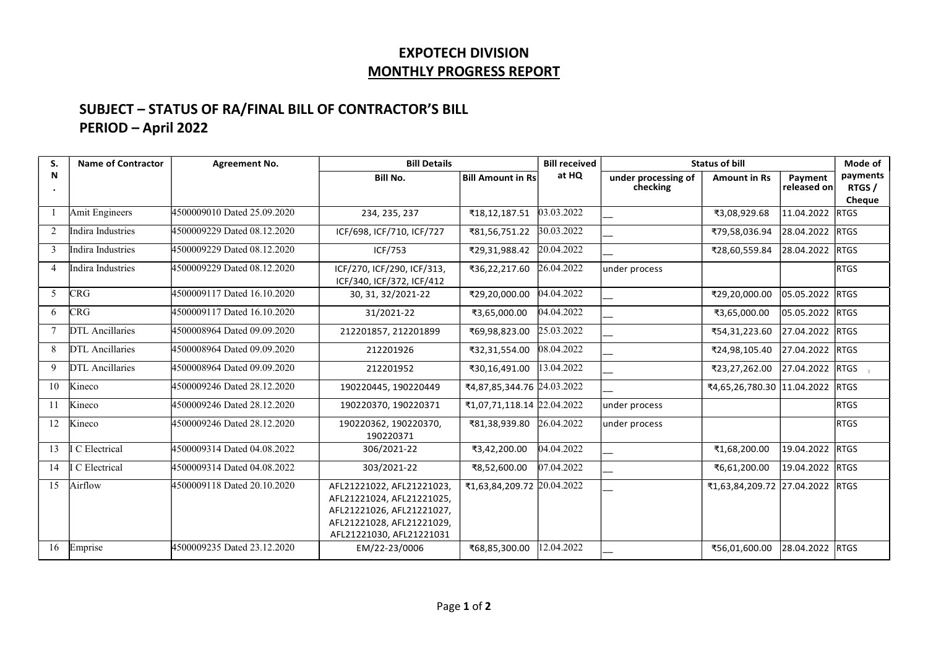## EXPOTECH DIVISION MONTHLY PROGRESS REPORT

## SUBJECT – STATUS OF RA/FINAL BILL OF CONTRACTOR'S BILL PERIOD – April 2022

| S. | <b>Name of Contractor</b> | <b>Agreement No.</b>        | <b>Bill Details</b>                                                                                                                          |                                     | <b>Bill received</b> |                                 | <b>Status of bill</b>           |                        | Mode of           |
|----|---------------------------|-----------------------------|----------------------------------------------------------------------------------------------------------------------------------------------|-------------------------------------|----------------------|---------------------------------|---------------------------------|------------------------|-------------------|
| N  |                           |                             | <b>Bill No.</b>                                                                                                                              | $ \!\! $ Bill Amount in Rs $ \!\! $ | at HQ                | under processing of<br>checking | <b>Amount in Rs</b>             | Payment<br>released on | payments<br>RTGS/ |
|    |                           |                             |                                                                                                                                              |                                     |                      |                                 |                                 |                        | Cheque            |
|    | <b>Amit Engineers</b>     | 4500009010 Dated 25.09.2020 | 234, 235, 237                                                                                                                                | ₹18,12,187.51                       | 03.03.2022           |                                 | ₹3,08,929.68                    | 11.04.2022 RTGS        |                   |
| 2  | Indira Industries         | 4500009229 Dated 08.12.2020 | ICF/698, ICF/710, ICF/727                                                                                                                    | ₹81,56,751.22                       | 30.03.2022           |                                 | ₹79,58,036.94                   | 28.04.2022 RTGS        |                   |
| 3  | Indira Industries         | 4500009229 Dated 08.12.2020 | ICF/753                                                                                                                                      | ₹29,31,988.42                       | 20.04.2022           |                                 | ₹28,60,559.84                   | 28.04.2022             | <b>RTGS</b>       |
|    | Indira Industries         | 4500009229 Dated 08.12.2020 | ICF/270, ICF/290, ICF/313,<br>ICF/340, ICF/372, ICF/412                                                                                      | ₹36,22,217.60                       | 26.04.2022           | under process                   |                                 |                        | <b>RTGS</b>       |
| 5  | <b>CRG</b>                | 4500009117 Dated 16.10.2020 | 30, 31, 32/2021-22                                                                                                                           | ₹29,20,000.00                       | 04.04.2022           |                                 | ₹29,20,000.00                   | 05.05.2022 RTGS        |                   |
| 6  | CRG                       | 4500009117 Dated 16.10.2020 | 31/2021-22                                                                                                                                   | ₹3,65,000.00                        | 04.04.2022           |                                 | ₹3,65,000.00                    | 05.05.2022 RTGS        |                   |
|    | DTL Ancillaries           | 4500008964 Dated 09.09.2020 | 212201857, 212201899                                                                                                                         | ₹69,98,823.00                       | 25.03.2022           |                                 | ₹54,31,223.60                   | 27.04.2022             | <b>RTGS</b>       |
| 8  | DTL Ancillaries           | 4500008964 Dated 09.09.2020 | 212201926                                                                                                                                    | ₹32,31,554.00                       | 08.04.2022           |                                 | ₹24,98,105.40                   | 27.04.2022 RTGS        |                   |
| 9  | DTL Ancillaries           | 4500008964 Dated 09.09.2020 | 212201952                                                                                                                                    | ₹30,16,491.00                       | 13.04.2022           |                                 | ₹23,27,262.00                   | 27.04.2022             | <b>RTGS</b>       |
| 10 | Kineco                    | 4500009246 Dated 28.12.2020 | 190220445, 190220449                                                                                                                         | ₹4,87,85,344.76 24.03.2022          |                      |                                 | ₹4,65,26,780.30 11.04.2022 RTGS |                        |                   |
| 11 | Kineco                    | 4500009246 Dated 28.12.2020 | 190220370, 190220371                                                                                                                         | ₹1,07,71,118.14 22.04.2022          |                      | under process                   |                                 |                        | <b>RTGS</b>       |
| 12 | Kineco                    | 4500009246 Dated 28.12.2020 | 190220362, 190220370,<br>190220371                                                                                                           | ₹81,38,939.80                       | 26.04.2022           | under process                   |                                 |                        | <b>RTGS</b>       |
| 13 | C Electrical              | 4500009314 Dated 04.08.2022 | 306/2021-22                                                                                                                                  | ₹3,42,200.00                        | 04.04.2022           |                                 | ₹1,68,200.00                    | 19.04.2022             | <b>RTGS</b>       |
| 14 | C Electrical              | 4500009314 Dated 04.08.2022 | 303/2021-22                                                                                                                                  | ₹8,52,600.00                        | 07.04.2022           |                                 | ₹6,61,200.00                    | 19.04.2022 RTGS        |                   |
| 15 | Airflow                   | 4500009118 Dated 20.10.2020 | AFL21221022, AFL21221023,<br>AFL21221024, AFL21221025,<br>AFL21221026, AFL21221027,<br>AFL21221028, AFL21221029,<br>AFL21221030, AFL21221031 | ₹1,63,84,209.72 20.04.2022          |                      |                                 | ₹1,63,84,209.72 27.04.2022 RTGS |                        |                   |
| 16 | Emprise                   | 4500009235 Dated 23.12.2020 | EM/22-23/0006                                                                                                                                | ₹68,85,300.00                       | 12.04.2022           |                                 | ₹56,01,600.00                   | 28.04.2022 RTGS        |                   |